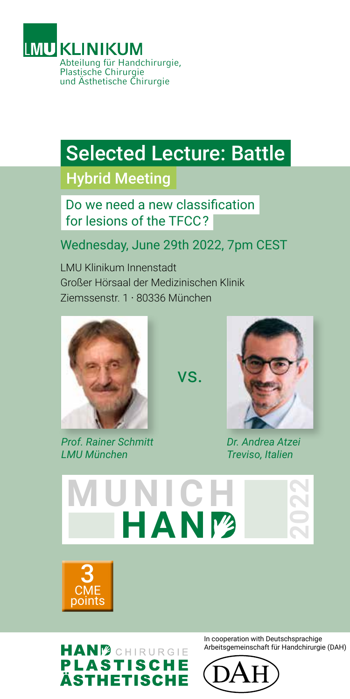

## Selected Lecture: Battle

## Hybrid Meeting

Do we need a new classification for lesions of the TFCC ?

## Wednesday, June 29th 2022, 7pm CEST

LMU Klinikum Innenstadt Großer Hörsaal der Medizinischen Klinik Ziemssenstr. 1 · 80336 München



*Prof. Rainer Schmitt LMU München*



*Dr. Andrea Atzei Treviso, Italien*



vs.



**HANM**CHIRURGIE **PLASTISCHE ÄSTHETISCHE**  In cooperation with Deutschsprachige Arbeitsgemeinschaft für Handchirurgie (DAH)